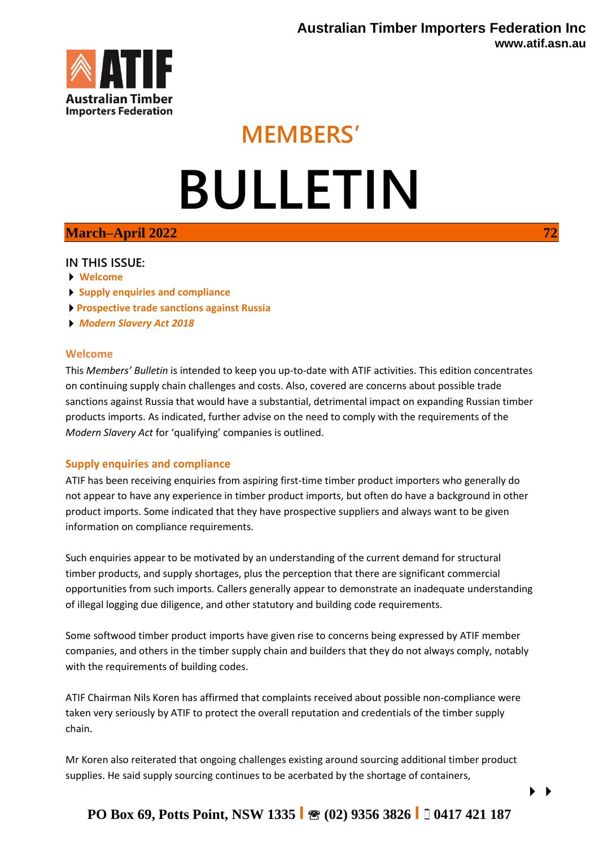

# **MEMBERS' BULLETIN**

## **March–April 2022** 72

### **IN THIS ISSUE:**

- **Welcome**
- **Supply enquiries and compliance**
- **Prospective trade sanctions against Russia**
- *Modern Slavery Act 2018*

#### **Welcome**

This *Members' Bulletin* is intended to keep you up-to-date with ATIF activities. This edition concentrates on continuing supply chain challenges and costs. Also, covered are concerns about possible trade sanctions against Russia that would have a substantial, detrimental impact on expanding Russian timber products imports. As indicated, further advise on the need to comply with the requirements of the *Modern Slavery Act* for 'qualifying' companies is outlined.

### **Supply enquiries and compliance**

ATIF has been receiving enquiries from aspiring first-time timber product importers who generally do not appear to have any experience in timber product imports, but often do have a background in other product imports. Some indicated that they have prospective suppliers and always want to be given information on compliance requirements.

Such enquiries appear to be motivated by an understanding of the current demand for structural timber products, and supply shortages, plus the perception that there are significant commercial opportunities from such imports. Callers generally appear to demonstrate an inadequate understanding of illegal logging due diligence, and other statutory and building code requirements.

Some softwood timber product imports have given rise to concerns being expressed by ATIF member companies, and others in the timber supply chain and builders that they do not always comply, notably with the requirements of building codes.

ATIF Chairman Nils Koren has affirmed that complaints received about possible non-compliance were taken very seriously by ATIF to protect the overall reputation and credentials of the timber supply chain.

Mr Koren also reiterated that ongoing challenges existing around sourcing additional timber product supplies. He said supply sourcing continues to be acerbated by the shortage of containers,

# **PO Box 69, Potts Point, NSW 1335 I (02) 9356 3826 I 0417 421 187**